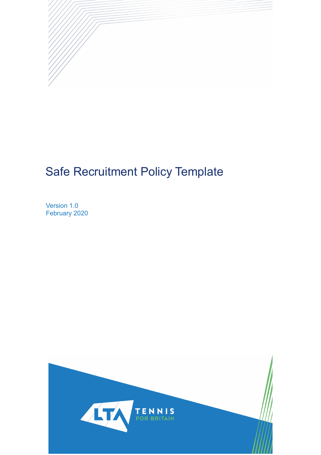

# Safe Recruitment Policy Template

Version 1.0 February 2020

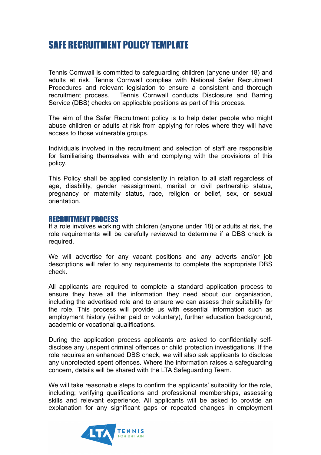## SAFE RECRUITMENT POLICY TEMPLATE

Tennis Cornwall is committed to safeguarding children (anyone under 18) and adults at risk. Tennis Cornwall complies with National Safer Recruitment Procedures and relevant legislation to ensure a consistent and thorough recruitment process. Tennis Cornwall conducts Disclosure and Barring Service (DBS) checks on applicable positions as part of this process.

The aim of the Safer Recruitment policy is to help deter people who might abuse children or adults at risk from applying for roles where they will have access to those vulnerable groups.

Individuals involved in the recruitment and selection of staff are responsible for familiarising themselves with and complying with the provisions of this policy.

This Policy shall be applied consistently in relation to all staff regardless of age, disability, gender reassignment, marital or civil partnership status, pregnancy or maternity status, race, religion or belief, sex, or sexual orientation.

#### RECRUITMENT PROCESS

If a role involves working with children (anyone under 18) or adults at risk, the role requirements will be carefully reviewed to determine if a DBS check is required.

We will advertise for any vacant positions and any adverts and/or job descriptions will refer to any requirements to complete the appropriate DBS check.

All applicants are required to complete a standard application process to ensure they have all the information they need about our organisation, including the advertised role and to ensure we can assess their suitability for the role. This process will provide us with essential information such as employment history (either paid or voluntary), further education background, academic or vocational qualifications.

During the application process applicants are asked to confidentially selfdisclose any unspent criminal offences or child protection investigations. If the role requires an enhanced DBS check, we will also ask applicants to disclose any unprotected spent offences. Where the information raises a safeguarding concern, details will be shared with the LTA Safeguarding Team.

We will take reasonable steps to confirm the applicants' suitability for the role, including; verifying qualifications and professional memberships, assessing skills and relevant experience. All applicants will be asked to provide an explanation for any significant gaps or repeated changes in employment

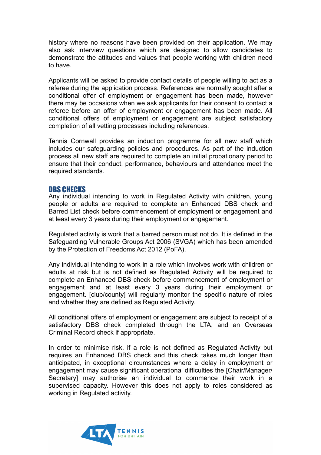history where no reasons have been provided on their application. We may also ask interview questions which are designed to allow candidates to demonstrate the attitudes and values that people working with children need to have.

Applicants will be asked to provide contact details of people willing to act as a referee during the application process. References are normally sought after a conditional offer of employment or engagement has been made, however there may be occasions when we ask applicants for their consent to contact a referee before an offer of employment or engagement has been made. All conditional offers of employment or engagement are subject satisfactory completion of all vetting processes including references.

Tennis Cornwall provides an induction programme for all new staff which includes our safeguarding policies and procedures. As part of the induction process all new staff are required to complete an initial probationary period to ensure that their conduct, performance, behaviours and attendance meet the required standards.

#### DBS CHECKS

Any individual intending to work in Regulated Activity with children, young people or adults are required to complete an Enhanced DBS check and Barred List check before commencement of employment or engagement and at least every 3 years during their employment or engagement.

Regulated activity is work that a barred person must not do. It is defined in the Safeguarding Vulnerable Groups Act 2006 (SVGA) which has been amended by the Protection of Freedoms Act 2012 (PoFA).

Any individual intending to work in a role which involves work with children or adults at risk but is not defined as Regulated Activity will be required to complete an Enhanced DBS check before commencement of employment or engagement and at least every 3 years during their employment or engagement. [club/county] will regularly monitor the specific nature of roles and whether they are defined as Regulated Activity.

All conditional offers of employment or engagement are subject to receipt of a satisfactory DBS check completed through the LTA, and an Overseas Criminal Record check if appropriate.

In order to minimise risk, if a role is not defined as Regulated Activity but requires an Enhanced DBS check and this check takes much longer than anticipated, in exceptional circumstances where a delay in employment or engagement may cause significant operational difficulties the [Chair/Manager/ Secretary] may authorise an individual to commence their work in a supervised capacity. However this does not apply to roles considered as working in Regulated activity.